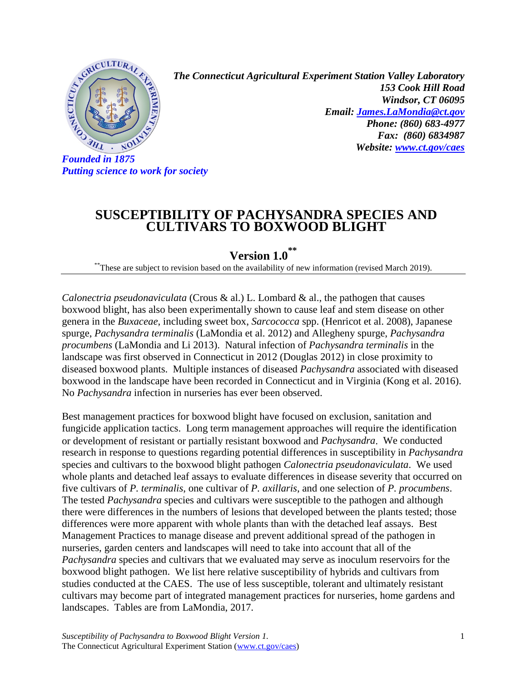

*Putting science to work for society*

*The Connecticut Agricultural Experiment Station Valley Laboratory 153 Cook Hill Road Windsor, CT 06095 Email: [James.LaMondia@ct.gov](mailto:James.LaMondia@ct.gov) Phone: (860) 683-4977 Fax: (860) 6834987 Website: [www.ct.gov/caes](http://www.ct.gov/caes)*

## **SUSCEPTIBILITY OF PACHYSANDRA SPECIES AND CULTIVARS TO BOXWOOD BLIGHT**

**Version 1.0 \*\***

\*\*These are subject to revision based on the availability of new information (revised March 2019).

*Calonectria pseudonaviculata* (Crous & al.) L. Lombard & al., the pathogen that causes boxwood blight, has also been experimentally shown to cause leaf and stem disease on other genera in the *Buxaceae*, including sweet box, *Sarcococca* spp. (Henricot et al. 2008), Japanese spurge, *Pachysandra terminalis* (LaMondia et al. 2012) and Allegheny spurge, *Pachysandra procumbens* (LaMondia and Li 2013). Natural infection of *Pachysandra terminalis* in the landscape was first observed in Connecticut in 2012 (Douglas 2012) in close proximity to diseased boxwood plants. Multiple instances of diseased *Pachysandra* associated with diseased boxwood in the landscape have been recorded in Connecticut and in Virginia (Kong et al. 2016). No *Pachysandra* infection in nurseries has ever been observed.

Best management practices for boxwood blight have focused on exclusion, sanitation and fungicide application tactics. Long term management approaches will require the identification or development of resistant or partially resistant boxwood and *Pachysandra*. We conducted research in response to questions regarding potential differences in susceptibility in *Pachysandra* species and cultivars to the boxwood blight pathogen *Calonectria pseudonaviculata*. We used whole plants and detached leaf assays to evaluate differences in disease severity that occurred on five cultivars of *P. terminalis*, one cultivar of *P. axillaris*, and one selection of *P. procumbens*. The tested *Pachysandra* species and cultivars were susceptible to the pathogen and although there were differences in the numbers of lesions that developed between the plants tested; those differences were more apparent with whole plants than with the detached leaf assays. Best Management Practices to manage disease and prevent additional spread of the pathogen in nurseries, garden centers and landscapes will need to take into account that all of the *Pachysandra* species and cultivars that we evaluated may serve as inoculum reservoirs for the boxwood blight pathogen. We list here relative susceptibility of hybrids and cultivars from studies conducted at the CAES. The use of less susceptible, tolerant and ultimately resistant cultivars may become part of integrated management practices for nurseries, home gardens and landscapes. Tables are from LaMondia, 2017.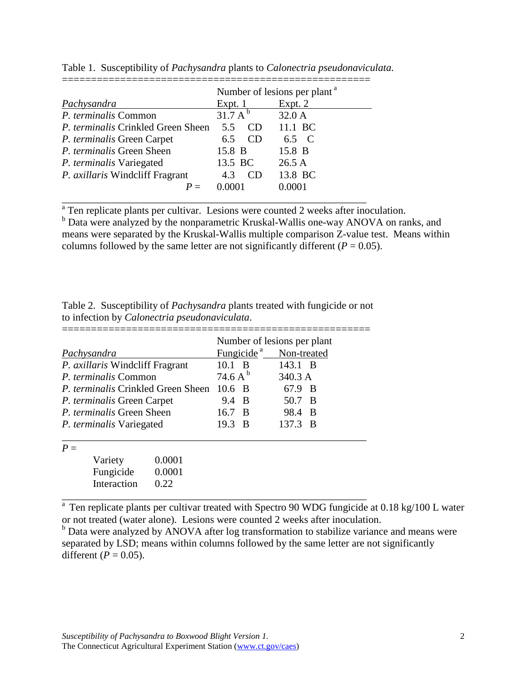|                                           | Number of lesions per plant <sup>a</sup> |         |  |
|-------------------------------------------|------------------------------------------|---------|--|
| Pachysandra                               | Expt. $1$                                | Expt. 2 |  |
| P. terminalis Common                      | 31.7 A <sup>b</sup>                      | 32.0 A  |  |
| <i>P. terminalis</i> Crinkled Green Sheen | CD<br>55                                 | 11.1 BC |  |
| P. terminalis Green Carpet                | CD <sub>0</sub><br>6.5                   | 6.5 C   |  |
| P. terminalis Green Sheen                 | 15.8 B                                   | 15.8 B  |  |
| P. terminalis Variegated                  | 13.5 BC                                  | 26.5A   |  |
| P. axillaris Windcliff Fragrant           | 4.3<br>CD.                               | 13.8 BC |  |
|                                           | Ი ᲘᲘᲘ1                                   | 0.0001  |  |

\_\_\_\_\_\_\_\_\_\_\_\_\_\_\_\_\_\_\_\_\_\_\_\_\_\_\_\_\_\_\_\_\_\_\_\_\_\_\_\_\_\_\_\_\_\_\_\_\_\_\_\_\_\_\_\_\_\_\_

Table 1. Susceptibility of *Pachysandra* plants to *Calonectria pseudonaviculata*.

<sup>a</sup> Ten replicate plants per cultivar. Lesions were counted 2 weeks after inoculation.

b Data were analyzed by the nonparametric Kruskal-Wallis one-way ANOVA on ranks, and means were separated by the Kruskal-Wallis multiple comparison Z-value test. Means within columns followed by the same letter are not significantly different ( $P = 0.05$ ).

| Table 2. Susceptibility of <i>Pachysandra</i> plants treated with fungicide or not |  |
|------------------------------------------------------------------------------------|--|
| to infection by <i>Calonectria pseudonaviculata</i> .                              |  |

|                                           | Number of lesions per plant |             |  |  |
|-------------------------------------------|-----------------------------|-------------|--|--|
| Pachysandra                               | Fungicide <sup>a</sup>      | Non-treated |  |  |
| P. axillaris Windcliff Fragrant           | $10.1 \quad B$              | 143.1 B     |  |  |
| <i>P. terminalis</i> Common               | 74.6 A <sup>b</sup>         | 340.3 A     |  |  |
| <i>P. terminalis</i> Crinkled Green Sheen | $10.6\quad B$               | 67.9 B      |  |  |
| P. terminalis Green Carpet                | 9.4 B                       | 50.7 B      |  |  |
| <i>P. terminalis</i> Green Sheen          | $16.7$ B                    | 98.4 B      |  |  |
| P. terminalis Variegated                  | 19.3 B                      | 137.3 B     |  |  |
|                                           |                             |             |  |  |
|                                           |                             |             |  |  |

| Variety     | 0.0001 |
|-------------|--------|
| Fungicide   | 0.0001 |
| Interaction | 0.22   |

<sup>a</sup> Ten replicate plants per cultivar treated with Spectro 90 WDG fungicide at 0.18 kg/100 L water or not treated (water alone). Lesions were counted 2 weeks after inoculation.

<sup>b</sup> Data were analyzed by ANOVA after log transformation to stabilize variance and means were separated by LSD; means within columns followed by the same letter are not significantly different ( $P = 0.05$ ).